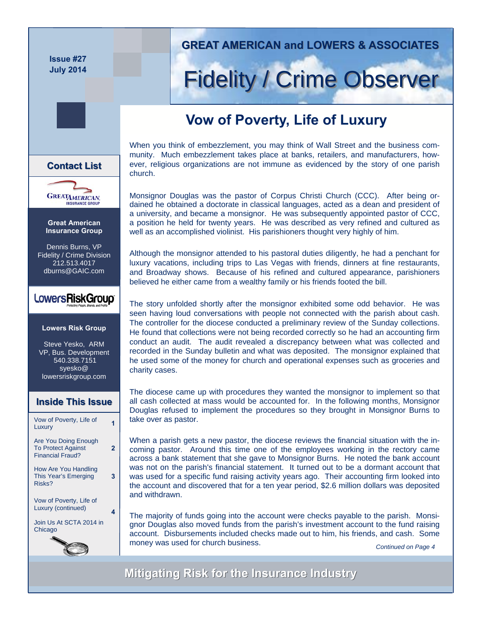**Issue #27 July 2014** 

**Great American Insurance Group**  Dennis Burns, VP Fidelity / Crime Division 212.513.4017 dburns@GAIC.com

**GREATAMERICAN** 

**Contact List List**

**Lowers Risk Group** 

LowersRiskGroup®

Steve Yesko, ARM VP, Bus. Development 540.338.7151 syesko@ lowersriskgroup.com

Vow of Poverty, Life of Luxury **<sup>1</sup>**

**Inside This Issue Inside This Issue**

 $\overline{2}$ 

**3** 

**4** 

Are You Doing Enough To Protect Against Financial Fraud?

How Are You Handling This Year's Emerging

Vow of Poverty, Life of Luxury (continued)

Join Us At SCTA 2014 in

Risks?

Chicago

#### **GREAT AMERICAN and LOWERS & ASSOCIATES GREAT AMERICAN and LOWERS & ASSOCIATES**

# **Fidelity / Crime Observer**

## **Vow of Poverty, Life of Luxury**

When you think of embezzlement, you may think of Wall Street and the business community. Much embezzlement takes place at banks, retailers, and manufacturers, however, religious organizations are not immune as evidenced by the story of one parish church.

Monsignor Douglas was the pastor of Corpus Christi Church (CCC). After being ordained he obtained a doctorate in classical languages, acted as a dean and president of a university, and became a monsignor. He was subsequently appointed pastor of CCC, a position he held for twenty years. He was described as very refined and cultured as well as an accomplished violinist. His parishioners thought very highly of him.

Although the monsignor attended to his pastoral duties diligently, he had a penchant for luxury vacations, including trips to Las Vegas with friends, dinners at fine restaurants, and Broadway shows. Because of his refined and cultured appearance, parishioners believed he either came from a wealthy family or his friends footed the bill.

The story unfolded shortly after the monsignor exhibited some odd behavior. He was seen having loud conversations with people not connected with the parish about cash. The controller for the diocese conducted a preliminary review of the Sunday collections. He found that collections were not being recorded correctly so he had an accounting firm conduct an audit. The audit revealed a discrepancy between what was collected and recorded in the Sunday bulletin and what was deposited. The monsignor explained that he used some of the money for church and operational expenses such as groceries and charity cases.

The diocese came up with procedures they wanted the monsignor to implement so that all cash collected at mass would be accounted for. In the following months, Monsignor Douglas refused to implement the procedures so they brought in Monsignor Burns to take over as pastor.

was not on the parish's financial statement. It turned out to be a dormant account that When a parish gets a new pastor, the diocese reviews the financial situation with the incoming pastor. Around this time one of the employees working in the rectory came across a bank statement that she gave to Monsignor Burns. He noted the bank account was used for a specific fund raising activity years ago. Their accounting firm looked into the account and discovered that for a ten year period, \$2.6 million dollars was deposited and withdrawn.

The majority of funds going into the account were checks payable to the parish. Monsignor Douglas also moved funds from the parish's investment account to the fund raising account. Disbursements included checks made out to him, his friends, and cash. Some money was used for church business.<br> **Continued on Page 4** 

**Mitigating Risk for the Insurance Industry Mitigating Risk for the Insurance Industry**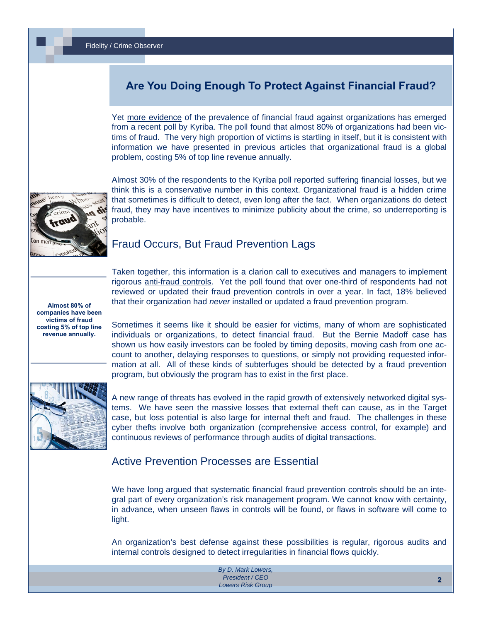### **Are You Doing Enough To Protect Against Financial Fraud?**

Yet [more evidence](http://www.digitaljournal.com/pr/1868416#ixzz30BluEnBJ) of the prevalence of financial fraud against organizations has emerged from a recent poll by Kyriba. The poll found that almost 80% of organizations had been victims of fraud. The very high proportion of victims is startling in itself, but it is consistent with information we have presented in previous articles that organizational fraud is a global problem, costing 5% of top line revenue annually.



Almost 30% of the respondents to the Kyriba poll reported suffering financial losses, but we think this is a conservative number in this context. Organizational fraud is a hidden crime that sometimes is difficult to detect, even long after the fact. When organizations do detect fraud, they may have incentives to minimize publicity about the crime, so underreporting is probable.

#### Fraud Occurs, But Fraud Prevention Lags

**Almost 80% of companies have been victims of fraud costing 5% of top line revenue annually.** 

Taken together, this information is a clarion call to executives and managers to implement rigorous [anti-fraud controls](http://www.lowersrisk.com/services/fraud-investigations.php). Yet the poll found that over one-third of respondents had not reviewed or updated their fraud prevention controls in over a year. In fact, 18% believed that their organization had *never* installed or updated a fraud prevention program.

Sometimes it seems like it should be easier for victims, many of whom are sophisticated individuals or organizations, to detect financial fraud. But the Bernie Madoff case has shown us how easily investors can be fooled by timing deposits, moving cash from one account to another, delaying responses to questions, or simply not providing requested information at all. All of these kinds of subterfuges should be detected by a fraud prevention program, but obviously the program has to exist in the first place.



A new range of threats has evolved in the rapid growth of extensively networked digital systems. We have seen the massive losses that external theft can cause, as in the Target case, but loss potential is also large for internal theft and fraud. The challenges in these cyber thefts involve both organization (comprehensive access control, for example) and continuous reviews of performance through audits of digital transactions.

#### Active Prevention Processes are Essential

We have long argued that systematic financial fraud prevention controls should be an integral part of every organization's risk management program. We cannot know with certainty, in advance, when unseen flaws in controls will be found, or flaws in software will come to light.

An organization's best defense against these possibilities is regular, rigorous audits and internal controls designed to detect irregularities in financial flows quickly.

| By D. Mark Lowers,       |  |
|--------------------------|--|
| President / CEO          |  |
| <b>Lowers Risk Group</b> |  |
|                          |  |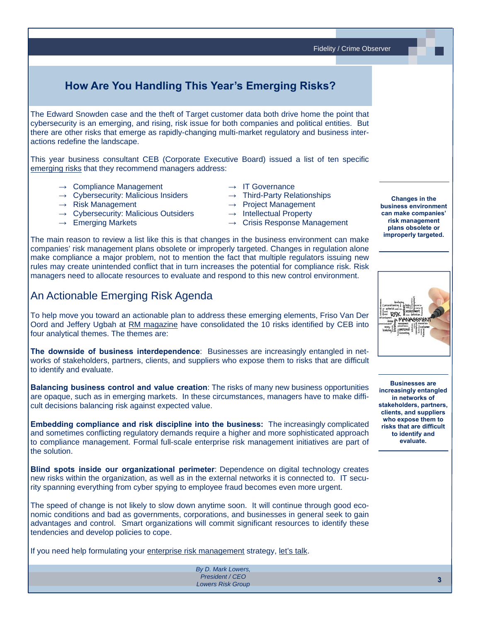Fidelity / Crime Observer

## **How Are You Handling This Year's Emerging Risks?**

The Edward Snowden case and the theft of Target customer data both drive home the point that cybersecurity is an emerging, and rising, risk issue for both companies and political entities. But there are other risks that emerge as rapidly-changing multi-market regulatory and business interactions redefine the landscape.

This year business consultant CEB (Corporate Executive Board) issued a list of ten specific [emerging risks](http://www.riskmanagementmonitor.com/enterprise-hot-spots-for-2014/) that they recommend managers address:

- **→** Compliance Management **→** IT Governance
- **→** Cybersecurity: Malicious Insiders **→** Third-Party Relationships
- 
- → Risk Management <br>
→ Project Management<br>
→ Cybersecurity: Malicious Outsiders → Intellectual Property → Cybersecurity: Malicious Outsiders
- 
- -
	-
- **→** Emerging Markets **→** Crisis Response Management

The main reason to review a list like this is that changes in the business environment can make companies' risk management plans obsolete or improperly targeted. Changes in regulation alone make compliance a major problem, not to mention the fact that multiple regulators issuing new rules may create unintended conflict that in turn increases the potential for compliance risk. Risk managers need to allocate resources to evaluate and respond to this new control environment.

#### An Actionable Emerging Risk Agenda

To help move you toward an actionable plan to address these emerging elements, Friso Van Der Oord and Jeffery Ugbah at [RM magazine](http://www.rmmagazine.com/2014/01/21/understanding-enterprise-hot-spots-for-2014/) have consolidated the 10 risks identified by CEB into four analytical themes. The themes are:

**The downside of business interdependence**: Businesses are increasingly entangled in networks of stakeholders, partners, clients, and suppliers who expose them to risks that are difficult to identify and evaluate.

**Balancing business control and value creation**: The risks of many new business opportunities are opaque, such as in emerging markets. In these circumstances, managers have to make difficult decisions balancing risk against expected value.

**Embedding compliance and risk discipline into the business:** The increasingly complicated and sometimes conflicting regulatory demands require a higher and more sophisticated approach to compliance management. Formal full-scale enterprise risk management initiatives are part of the solution.

**Blind spots inside our organizational perimeter**: Dependence on digital technology creates new risks within the organization, as well as in the external networks it is connected to. IT security spanning everything from cyber spying to employee fraud becomes even more urgent.

The speed of change is not likely to slow down anytime soon. It will continue through good economic conditions and bad as governments, corporations, and businesses in general seek to gain advantages and control. Smart organizations will commit significant resources to identify these tendencies and develop policies to cope.

If you need help formulating your [enterprise risk management](http://www.lowersriskgroup.com/) strategy, [let's talk.](http://www.lowersriskgroup.com/contact/request-meeting.php)

*By D. Mark Lowers, President / CEO Lowers Risk Group* 



**Changes in the business environment can make companies' risk management plans obsolete or improperly targeted.**

**Businesses are increasingly entangled in networks of stakeholders, partners, clients, and suppliers who expose them to risks that are difficult to identify and evaluate.**